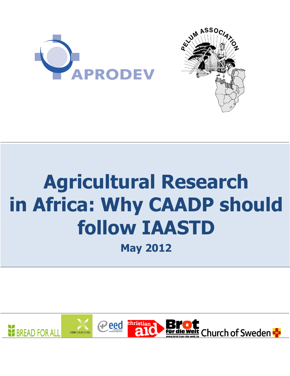



# **Agricultural Research in Africa: Why CAADP should follow IAASTD**

**May 2012**

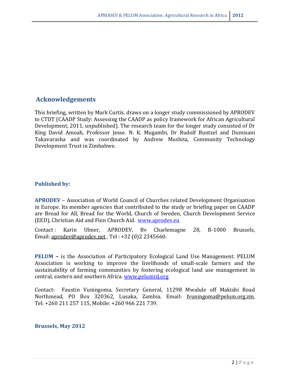# **Acknowledgements**

This briefing, written by Mark Curtis, draws on a longer study commissioned by APRODEV to CTDT (CAADP Study: Assessing the CAADP as policy framework for African Agricultural Development, 2011, unpublished). The research team for the longer study consisted of Dr King David Amoah, Professor Jesse. N. K. Mugambi, Dr Rudolf Buntzel and Dumisani Takavarasha and was coordinated by Andrew Mushita, Community Technology Development Trust in Zimbabwe.

## **Published by:**

**APRODEV** – Association of World Council of Churches related Development Organisation in Europe. Its member agencies that contributed to the study or briefing paper on CAADP are Bread for All, Bread for the World, Church of Sweden, Church Development Service (EED), Christian Aid and Finn Church Aid. [www.aprodev.eu](http://www.aprodev.eu/)

Contact : Karin Ulmer, APRODEV, Bv Charlemagne 28, B-1000 Brussels, Email[: aprodev@aprodev.net](mailto:aprodev@aprodev.net) , Tel : +32 (0)2 2345660.

**PELUM –** is the Association of Participatory Ecological Land Use Management. PELUM Association is working to improve the livelihoods of small-scale farmers and the sustainability of farming communities by fostering ecological land use management in central, eastern and southern Africa. [www.pelumrd.org](http://www.pelumrd.org/)

Contact: Faustin Vuningoma, Secretary General, 11298 Mwalule off Makishi Road Northmead, PO Box 320362, Lusaka, Zambia. Email: [fvuningoma@pelum.org.zm,](mailto:fvuningoma@pelum.org.zm) Tel: +260 211 257 115, Mobile: +260 966 221 739.

#### **Brussels, May 2012**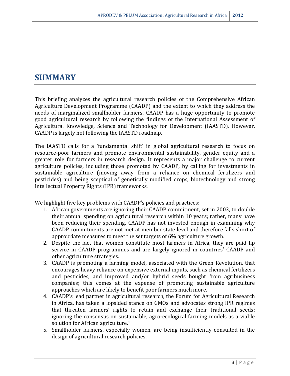# **SUMMARY**

This briefing analyzes the agricultural research policies of the Comprehensive African Agriculture Development Programme (CAADP) and the extent to which they address the needs of marginalized smallholder farmers. CAADP has a huge opportunity to promote good agricultural research by following the findings of the International Assessment of Agricultural Knowledge, Science and Technology for Development (IAASTD). However, CAADP is largely not following the IAASTD roadmap.

The IAASTD calls for a 'fundamental shift' in global agricultural research to focus on resource-poor farmers and promote environmental sustainability, gender equity and a greater role for farmers in research design. It represents a major challenge to current agriculture policies, including those promoted by CAADP, by calling for investments in sustainable agriculture (moving away from a reliance on chemical fertilizers and pesticides) and being sceptical of genetically modified crops, biotechnology and strong Intellectual Property Rights (IPR) frameworks.

We highlight five key problems with CAADP's policies and practices:

- 1. African governments are ignoring their CAADP commitment, set in 2003, to double their annual spending on agricultural research within 10 years; rather, many have been reducing their spending. CAADP has not invested enough in examining why CAADP commitments are not met at member state level and therefore falls short of appropriate measures to meet the set targets of 6% agriculture growth.
- 2. Despite the fact that women constitute most farmers in Africa, they are paid lip service in CAADP programmes and are largely ignored in countries' CAADP and other agriculture strategies.
- 3. CAADP is promoting a farming model, associated with the Green Revolution, that encourages heavy reliance on expensive external inputs, such as chemical fertilizers and pesticides, and improved and/or hybrid seeds bought from agribusiness companies; this comes at the expense of promoting sustainable agriculture approaches which are likely to benefit poor farmers much more.
- 4. CAADP's lead partner in agricultural research, the Forum for Agricultural Research in Africa, has taken a lopsided stance on GMOs and advocates strong IPR regimes that threaten farmers' rights to retain and exchange their traditional seeds; ignoring the consensus on sustainable, agro-ecological farming models as a viable solution for African agriculture.<sup>1</sup>
- 5. Smallholder farmers, especially women, are being insufficiently consulted in the design of agricultural research policies.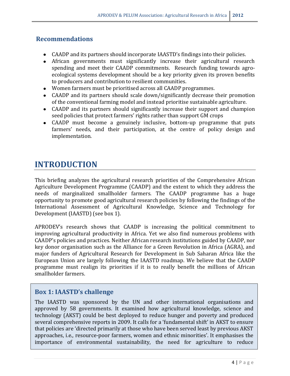# **Recommendations**

- CAADP and its partners should incorporate IAASTD's findings into their policies.
- African governments must significantly increase their agricultural research spending and meet their CAADP commitments. Research funding towards agroecological systems development should be a key priority given its proven benefits to producers and contribution to resilient communities.
- Women farmers must be prioritised across all CAADP programmes.
- CAADP and its partners should scale down/significantly decrease their promotion of the conventional farming model and instead prioritise sustainable agriculture.
- CAADP and its partners should significantly increase their support and champion seed policies that protect farmers' rights rather than support GM crops
- CAADP must become a genuinely inclusive, bottom-up programme that puts farmers' needs, and their participation, at the centre of policy design and implementation.

# **INTRODUCTION**

This briefing analyzes the agricultural research priorities of the Comprehensive African Agriculture Development Programme (CAADP) and the extent to which they address the needs of marginalized smallholder farmers. The CAADP programme has a huge opportunity to promote good agricultural research policies by following the findings of the International Assessment of Agricultural Knowledge, Science and Technology for Development (IAASTD) (see box 1).

APRODEV's research shows that CAADP is increasing the political commitment to improving agricultural productivity in Africa. Yet we also find numerous problems with CAADP's policies and practices. Neither African research institutions guided by CAADP, nor key donor organisation such as the Alliance for a Green Revolution in Africa (AGRA), and major funders of Agricultural Research for Development in Sub Saharan Africa like the European Union are largely following the IAASTD roadmap. We believe that the CAADP programme must realign its priorities if it is to really benefit the millions of African smallholder farmers.

# **Box 1: IAASTD's challenge**

The IAASTD was sponsored by the UN and other international organisations and approved by 58 governments. It examined how agricultural knowledge, science and technology (AKST) could be best deployed to reduce hunger and poverty and produced several comprehensive reports in 2009. It calls for a 'fundamental shift' in AKST to ensure that policies are 'directed primarily at those who have been served least by previous AKST approaches, i.e., resource-poor farmers, women and ethnic minorities'. It emphasises the importance of environmental sustainability, the need for agriculture to reduce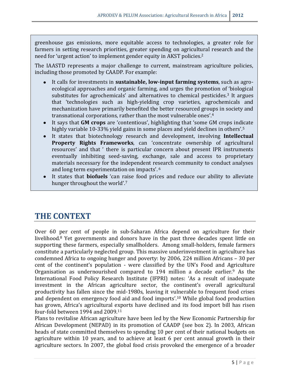greenhouse gas emissions, more equitable access to technologies, a greater role for farmers in setting research priorities, greater spending on agricultural research and the need for 'urgent action' to implement gender equity in AKST policies. 2

The IAASTD represents a major challenge to current, mainstream agriculture policies, including those promoted by CAADP. For example:

- It calls for investments in **sustainable, low-input farming systems**, such as agroecological approaches and organic farming, and urges the promotion of 'biological substitutes for agrochemicals' and alternatives to chemical pesticides.<sup>3</sup> It argues that 'technologies such as high-yielding crop varieties, agrochemicals and mechanization have primarily benefited the better resourced groups in society and transnational corporations, rather than the most vulnerable ones'.<sup>4</sup>
- It says that **GM crops** are 'contentious', highlighting that 'some GM crops indicate highly variable 10-33% yield gains in some places and yield declines in others'.<sup>5</sup>
- It states that biotechnology research and development, involving **Intellectual Property Rights Frameworks**, can 'concentrate ownership of agricultural resources' and that ' there is particular concern about present IPR instruments eventually inhibiting seed-saving, exchange, sale and access to proprietary materials necessary for the independent research community to conduct analyses and long term experimentation on impacts'. <sup>6</sup>
- It states that **biofuels** 'can raise food prices and reduce our ability to alleviate hunger throughout the world'.<sup>7</sup>

# **THE CONTEXT**

Over 60 per cent of people in sub-Saharan Africa depend on agriculture for their livelihood.<sup>8</sup> Yet governments and donors have in the past three decades spent little on supporting these farmers, especially smallholders. Among small-holders, female farmers constitute a particularly neglected group. This massive underinvestment in agriculture has condemned Africa to ongoing hunger and poverty: by 2006, 224 million Africans – 30 per cent of the continent's population - were classified by the UN's Food and Agriculture Organisation as undernourished compared to  $194$  million a decade earlier.<sup>9</sup> As the International Food Policy Research Institute (IFPRI) notes: 'As a result of inadequate investment in the African agriculture sector, the continent's overall agricultural productivity has fallen since the mid-1980s, leaving it vulnerable to frequent food crises and dependent on emergency food aid and food imports'.<sup>10</sup> While global food production has grown, Africa's agricultural exports have declined and its food import bill has risen four-fold between 1994 and 2009.<sup>11</sup>

Plans to revitalise African agriculture have been led by the New Economic Partnership for African Development (NEPAD) in its promotion of CAADP (see box 2). In 2003, African heads of state committed themselves to spending 10 per cent of their national budgets on agriculture within 10 years, and to achieve at least 6 per cent annual growth in their agriculture sectors. In 2007, the global food crisis provoked the emergence of a broader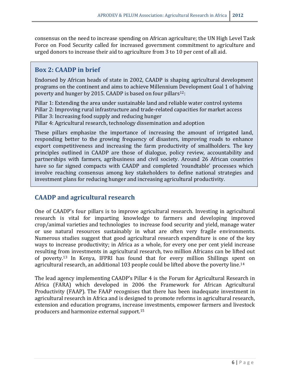consensus on the need to increase spending on African agriculture; the UN High Level Task Force on Food Security called for increased government commitment to agriculture and urged donors to increase their aid to agriculture from 3 to 10 per cent of all aid.

## **Box 2: CAADP in brief**

Endorsed by African heads of state in 2002, CAADP is shaping agricultural development programs on the continent and aims to achieve Millennium Development Goal 1 of halving poverty and hunger by 2015. CAADP is based on four pillars<sup>12</sup>:

Pillar 1: Extending the area under sustainable land and reliable water control systems Pillar 2: Improving rural infrastructure and trade-related capacities for market access Pillar 3: Increasing food supply and reducing hunger

Pillar 4: Agricultural research, technology dissemination and adoption

These pillars emphasize the importance of increasing the amount of irrigated land, responding better to the growing frequency of disasters, improving roads to enhance export competitiveness and increasing the farm productivity of smallholders. The key principles outlined in CAADP are those of dialogue, policy review, accountability and partnerships with farmers, agribusiness and civil society. Around 26 African countries have so far signed compacts with CAADP and completed 'roundtable' processes which involve reaching consensus among key stakeholders to define national strategies and investment plans for reducing hunger and increasing agricultural productivity.

# **CAADP and agricultural research**

One of CAADP's four pillars is to improve agricultural research. Investing in agricultural research is vital for imparting knowledge to farmers and developing improved crop/animal varieties and technologies to increase food security and yield, manage water or use natural resources sustainably in what are often very fragile environments. Numerous studies suggest that good agricultural research expenditure is one of the key ways to increase productivity; in Africa as a whole, for every one per cent yield increase resulting from investments in agricultural research, two million Africans can be lifted out of poverty.<sup>13</sup> In Kenya, IFPRI has found that for every million Shillings spent on agricultural research, an additional 103 people could be lifted above the poverty line.<sup>14</sup>

The lead agency implementing CAADP's Pillar 4 is the Forum for Agricultural Research in Africa (FARA) which developed in 2006 the Framework for African Agricultural Productivity (FAAP). The FAAP recognises that there has been inadequate investment in agricultural research in Africa and is designed to promote reforms in agricultural research, extension and education programs, increase investments, empower farmers and livestock producers and harmonize external support.15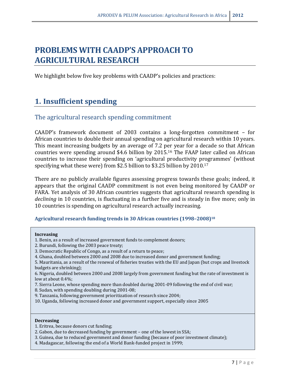# **PROBLEMS WITH CAADP'S APPROACH TO AGRICULTURAL RESEARCH**

We highlight below five key problems with CAADP's policies and practices:

# **1. Insufficient spending**

# The agricultural research spending commitment

CAADP's framework document of 2003 contains a long-forgotten commitment – for African countries to double their annual spending on agricultural research within 10 years. This meant increasing budgets by an average of 7.2 per year for a decade so that African countries were spending around \$4.6 billion by 2015.<sup>16</sup> The FAAP later called on African countries to increase their spending on 'agricultural productivity programmes' (without specifying what these were) from \$2.5 billion to \$3.25 billion by 2010.<sup>17</sup>

There are no publicly available figures assessing progress towards these goals; indeed, it appears that the original CAADP commitment is not even being monitored by CAADP or FARA. Yet analysis of 30 African countries suggests that agricultural research spending is *declining* in 10 countries, is fluctuating in a further five and is steady in five more; only in 10 countries is spending on agricultural research actually increasing.

#### **Agricultural research funding trends in 30 African countries (1998–2008)<sup>18</sup>**

#### **Increasing**

- 1. Benin, as a result of increased government funds to complement donors;
- 2. Burundi, following the 2003 peace treaty;
- 3. Democratic Republic of Congo, as a result of a return to peace;
- 4. Ghana, doubled between 2000 and 2008 due to increased donor and government funding;
- 5. Mauritania, as a result of the renewal of fisheries treaties with the EU and Japan (but crops and livestock budgets are shrinking);

6. Nigeria, doubled between 2000 and 2008 largely from government funding but the rate of investment is low at about 0.4%;

- 7. Sierra Leone, whose spending more than doubled during 2001-09 following the end of civil war;
- 8. Sudan, with spending doubling during 2001-08;
- 9. Tanzania, following government prioritization of research since 2004;
- 10. Uganda, following increased donor and government support, especially since 2005

#### **Decreasing**

- 1. Eritrea, because donors cut funding;
- 2. Gabon, due to decreased funding by government one of the lowest in SSA;
- 3. Guinea, due to reduced government and donor funding (because of poor investment climate);
- 4. Madagascar, following the end of a World Bank-funded project in 1999;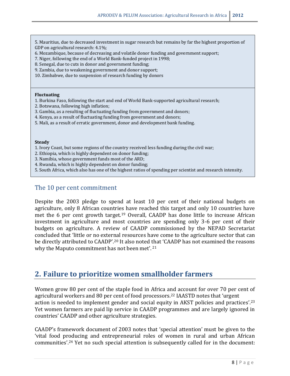5. Mauritius, due to decreased investment in sugar research but remains by far the highest proportion of GDP on agricultural research: 4.1%;

- 6. Mozambique, because of decreasing and volatile donor funding and government support;
- 7. Niger, following the end of a World Bank-funded project in 1998;
- 8. Senegal, due to cuts in donor and government funding;
- 9. Zambia, due to weakening government and donor support;
- 10. Zimbabwe, due to suspension of research funding by donors

#### **Fluctuating**

- 1. Burkina Faso, following the start and end of World Bank-supported agricultural research;
- 2. Botswana, following high inflation;
- 3. Gambia, as a resulting of fluctuating funding from government and donors;
- 4. Kenya, as a result of fluctuating funding from government and donors;
- 5. Mali, as a result of erratic government, donor and development bank funding.

#### **Steady**

- 1. Ivory Coast, but some regions of the country received less funding during the civil war;
- 2. Ethiopia, which is highly dependent on donor funding;
- 3. Namibia, whose government funds most of the ARD;
- 4. Rwanda, which is highly dependent on donor funding;
- 5. South Africa, which also has one of the highest ratios of spending per scientist and research intensity.

## The 10 per cent commitment

Despite the 2003 pledge to spend at least 10 per cent of their national budgets on agriculture, only 8 African countries have reached this target and only 10 countries have met the 6 per cent growth target.<sup>19</sup> Overall, CAADP has done little to increase African investment in agriculture and most countries are spending only 3-6 per cent of their budgets on agriculture. A review of CAADP commissioned by the NEPAD Secretariat concluded that 'little or no external resources have come to the agriculture sector that can be directly attributed to CAADP'.<sup>20</sup> It also noted that 'CAADP has not examined the reasons why the Maputo commitment has not been met'. <sup>21</sup>

# **2. Failure to prioritize women smallholder farmers**

Women grow 80 per cent of the staple food in Africa and account for over 70 per cent of agricultural workers and 80 per cent of food processors.<sup>22</sup> IAASTD notes that 'urgent action is needed to implement gender and social equity in AKST policies and practices'.<sup>23</sup> Yet women farmers are paid lip service in CAADP programmes and are largely ignored in countries' CAADP and other agriculture strategies.

CAADP's framework document of 2003 notes that 'special attention' must be given to the 'vital food producing and entrepreneurial roles of women in rural and urban African communities'. <sup>24</sup> Yet no such special attention is subsequently called for in the document: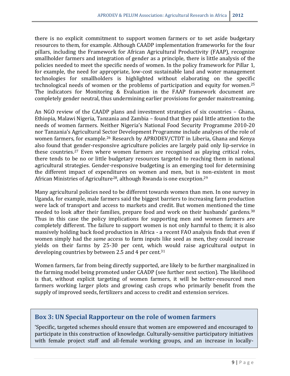there is no explicit commitment to support women farmers or to set aside budgetary resources to them, for example. Although CAADP implementation frameworks for the four pillars, including the Framework for African Agricultural Productivity (FAAP), recognize smallholder farmers and integration of gender as a principle, there is little analysis of the policies needed to meet the specific needs of women. In the policy framework for Pillar 1, for example, the need for appropriate, low-cost sustainable land and water management technologies for smallholders is highlighted without elaborating on the specific technological needs of women or the problems of participation and equity for women.<sup>25</sup> The indicators for Monitoring & Evaluation in the FAAP framework document are completely gender neutral, thus undermining earlier provisions for gender mainstreaming.

An NGO review of the CAADP plans and investment strategies of six countries – Ghana, Ethiopia, Malawi Nigeria, Tanzania and Zambia – found that they paid little attention to the needs of women farmers. Neither Nigeria's National Food Security Programme 2010-20 nor Tanzania's Agricultural Sector Development Programme include analyses of the role of women farmers, for example.<sup>26</sup> Research by APRODEV/CTDT in Liberia, Ghana and Kenya also found that gender-responsive agriculture policies are largely paid only lip-service in these countries. <sup>27</sup> Even where women farmers are recognised as playing critical roles, there tends to be no or little budgetary resources targeted to reaching them in national agricultural strategies. Gender-responsive budgeting is an emerging tool for determining the different impact of expenditures on women and men, but is non-existent in most African Ministries of Agriculture<sup>28</sup>, although Rwanda is one exception.<sup>29</sup>

Many agricultural policies need to be different towards women than men. In one survey in Uganda, for example, male farmers said the biggest barriers to increasing farm production were lack of transport and access to markets and credit. But women mentioned the time needed to look after their families, prepare food and work on their husbands' gardens.<sup>30</sup> Thus in this case the policy implications for supporting men and women farmers are completely different. The failure to support women is not only harmful to them; it is also massively holding back food production in Africa - a recent FAO analysis finds that even if women simply had the *same* access to farm inputs like seed as men, they could increase yields on their farms by 25-30 per cent, which would raise agricultural output in developing countries by between 2.5 and 4 per cent.<sup>31</sup>

Women farmers, far from being directly supported, are likely to be further marginalized in the farming model being promoted under CAADP (see further next section). The likelihood is that, without explicit targeting of women farmers, it will be better-resourced men farmers working larger plots and growing cash crops who primarily benefit from the supply of improved seeds, fertilizers and access to credit and extension services.

# **Box 3: UN Special Rapporteur on the role of women farmers**

'Specific, targeted schemes should ensure that women are empowered and encouraged to participate in this construction of knowledge. Culturally-sensitive participatory initiatives with female project staff and all-female working groups, and an increase in locally-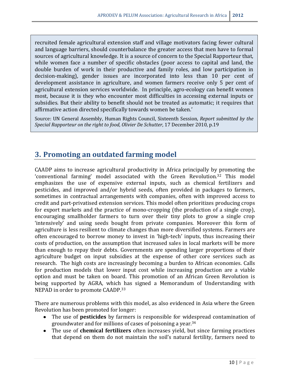recruited female agricultural extension staff and village motivators facing fewer cultural and language barriers, should counterbalance the greater access that men have to formal sources of agricultural knowledge. It is a source of concern to the Special Rapporteur that, while women face a number of specific obstacles (poor access to capital and land, the double burden of work in their productive and family roles, and low participation in decision-making), gender issues are incorporated into less than 10 per cent of development assistance in agriculture, and women farmers receive only 5 per cent of agricultural extension services worldwide. In principle, agro-ecology can benefit women most, because it is they who encounter most difficulties in accessing external inputs or subsidies. But their ability to benefit should not be treated as automatic; it requires that affirmative action directed specifically towards women be taken.'

Source: UN General Assembly, Human Rights Council, Sixteenth Session, *Report submitted by the Special Rapporteur on the right to food, Olivier De Schutter*, 17 December 2010, p.19

# **3. Promoting an outdated farming model**

CAADP aims to increase agricultural productivity in Africa principally by promoting the 'conventional farming' model associated with the Green Revolution.<sup>32</sup> This model emphasizes the use of expensive external inputs, such as chemical fertilizers and pesticides, and improved and/or hybrid seeds, often provided in packages to farmers, sometimes in contractual arrangements with companies, often with improved access to credit and part-privatised extension services. This model often prioritizes producing crops for export markets and the practice of mono-cropping (the production of a single crop), encouraging smallholder farmers to turn over their tiny plots to grow a single crop 'intensively' and using seeds bought from private companies. Moreover this form of agriculture is less resilient to climate changes than more diversified systems. Farmers are often encouraged to borrow money to invest in 'high-tech' inputs, thus increasing their costs of production, on the assumption that increased sales in local markets will be more than enough to repay their debts. Governments are spending larger proportions of their agriculture budget on input subsidies at the expense of other core services such as research. The high costs are increasingly becoming a burden to African economies. Calls for production models that lower input cost while increasing production are a viable option and must be taken on board. This promotion of an African Green Revolution is being supported by AGRA, which has signed a Memorandum of Understanding with NEPAD in order to promote CAADP.<sup>33</sup>

There are numerous problems with this model, as also evidenced in Asia where the Green Revolution has been promoted for longer:

- The use of **pesticides** by farmers is responsible for widespread contamination of groundwater and for millions of cases of poisoning a year. 34
- The use of **chemical fertilizers** often increases yield, but since farming practices that depend on them do not maintain the soil's natural fertility, farmers need to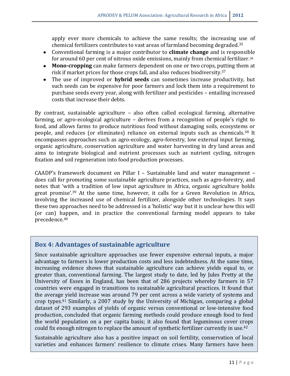apply ever more chemicals to achieve the same results; the increasing use of chemical fertilizers contributes to vast areas of farmland becoming degraded. 35

- Conventional farming is a major contributor to **climate change** and is responsible for around 60 per cent of nitrous oxide emissions, mainly from chemical fertilizer.<sup>36</sup>
- **Mono-cropping** can make farmers dependent on one or two crops, putting them at risk if market prices for those crops fall, and also reduces biodiversity.<sup>37</sup>
- The use of improved or **hybrid seeds** can sometimes increase productivity, but such seeds can be expensive for poor farmers and lock them into a requirement to purchase seeds every year, along with fertilizer and pesticides – entailing increased costs that increase their debts.

By contrast, sustainable agriculture – also often called ecological farming, alternative farming, or agro-ecological agriculture – derives from a recognition of people's right to food, and allows farms to produce nutritious food without damaging soils, ecosystems or people, and reduces (or eliminates) reliance on external inputs such as chemicals.<sup>38</sup> It encompasses approaches such as agro-ecology, agro-forestry, low external input farming, organic agriculture, conservation agriculture and water harvesting in dry land areas and aims to integrate biological and nutrient processes such as nutrient cycling, nitrogen fixation and soil regeneration into food production processes.

CAADP's framework document on Pillar I – Sustainable land and water management – does call for promoting some sustainable agriculture practices, such as agro-forestry, and notes that 'with a tradition of low input agriculture in Africa, organic agriculture holds great promise<sup>', 39</sup> At the same time, however, it calls for a Green Revolution in Africa, involving the increased use of chemical fertilizer, alongside other technologies. It says these two approaches need to be addressed in a 'holistic' way but it is unclear how this will (or can) happen, and in practice the conventional farming model appears to take precedence.<sup>40</sup>

# **Box 4: Advantages of sustainable agriculture**

Since sustainable agriculture approaches use fewer expensive external inputs, a major advantage to farmers is lower production costs and less indebtedness. At the same time, increasing evidence shows that sustainable agriculture can achieve yields equal to, or greater than, conventional farming. The largest study to date, led by Jules Pretty at the University of Essex in England, has been that of 286 projects whereby farmers in 57 countries were engaged in transitions to sustainable agricultural practices. It found that the average yield increase was around 79 per cent across a wide variety of systems and crop types.<sup>41</sup> Similarly, a 2007 study by the University of Michigan, comparing a global dataset of 293 examples of yields of organic versus conventional or low-intensive food production, concluded that organic farming methods could produce enough food to feed the world population on a per capita basis; it also found that leguminous cover crops could fix enough nitrogen to replace the amount of synthetic fertilizer currently in use.<sup>42</sup>

Sustainable agriculture also has a positive impact on soil fertility, conservation of local varieties and enhances farmers' resilience to climate crises. Many farmers have been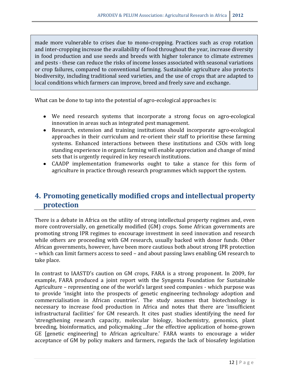made more vulnerable to crises due to mono-cropping. Practices such as crop rotation and inter-cropping increase the availability of food throughout the year, increase diversity in food production and use seeds and breeds with higher tolerance to climate extremes and pests - these can reduce the risks of income losses associated with seasonal variations or crop failures, compared to conventional farming. Sustainable agriculture also protects biodiversity, including traditional seed varieties, and the use of crops that are adapted to local conditions which farmers can improve, breed and freely save and exchange.

What can be done to tap into the potential of agro-ecological approaches is:

- We need research systems that incorporate a strong focus on agro-ecological innovation in areas such as integrated pest management.
- Research, extension and training institutions should incorporate agro-ecological approaches in their curriculum and re-orient their staff to prioritise these farming systems. Enhanced interactions between these institutions and CSOs with long standing experience in organic farming will enable appreciation and change of mind sets that is urgently required in key research institutions.
- CAADP implementation frameworks ought to take a stance for this form of agriculture in practice through research programmes which support the system.

# **4. Promoting genetically modified crops and intellectual property protection**

There is a debate in Africa on the utility of strong intellectual property regimes and, even more controversially, on genetically modified (GM) crops. Some African governments are promoting strong IPR regimes to encourage investment in seed innovation and research while others are proceeding with GM research, usually backed with donor funds. Other African governments, however, have been more cautious both about strong IPR protection – which can limit farmers access to seed – and about passing laws enabling GM research to take place.

In contrast to IAASTD's caution on GM crops, FARA is a strong proponent. In 2009, for example, FARA produced a joint report with the Syngenta Foundation for Sustainable Agriculture – representing one of the world's largest seed companies - which purpose was to provide 'insight into the prospects of genetic engineering technology adoption and commercialisation in African countries'. The study assumes that biotechnology is necessary to increase food production in Africa and notes that there are 'insufficient infrastructural facilities' for GM research. It cites past studies identifying the need for 'strengthening research capacity, molecular biology, biochemistry, genomics, plant breeding, bioinformatics, and policymaking ...for the effective application of home-grown GE [genetic engineering] to African agriculture.' FARA wants to encourage a wider acceptance of GM by policy makers and farmers, regards the lack of biosafety legislation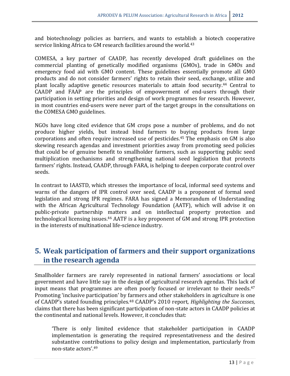and biotechnology policies as barriers, and wants to establish a biotech cooperative service linking Africa to GM research facilities around the world.<sup>43</sup>

COMESA, a key partner of CAADP, has recently developed draft guidelines on the commercial planting of genetically modified organisms (GMOs), trade in GMOs and emergency food aid with GMO content. These guidelines essentially promote all GMO products and do not consider farmers' rights to retain their seed, exchange, utilize and plant locally adaptive genetic resources materials to attain food security.<sup>44</sup> Central to CAADP and FAAP are the principles of empowerment of end-users through their participation in setting priorities and design of work programmes for research. However, in most countries end-users were never part of the target groups in the consultations on the COMESA GMO guidelines.

NGOs have long cited evidence that GM crops pose a number of problems, and do not produce higher yields, but instead bind farmers to buying products from large corporations and often require increased use of pesticides.<sup>45</sup> The emphasis on GM is also skewing research agendas and investment priorities away from promoting seed policies that could be of genuine benefit to smallholder farmers, such as supporting public seed multiplication mechanisms and strengthening national seed legislation that protects farmers' rights. Instead, CAADP, through FARA, is helping to deepen corporate control over seeds.

In contrast to IAASTD, which stresses the importance of local, informal seed systems and warns of the dangers of IPR control over seed, CAADP is a proponent of formal seed legislation and strong IPR regimes. FARA has signed a Memorandum of Understanding with the African Agricultural Technology Foundation (AATF), which will advise it on public-private partnership matters and on intellectual property protection and technological licensing issues.<sup>46</sup> AATF is a key proponent of GM and strong IPR protection in the interests of multinational life-science industry.

# **5. Weak participation of farmers and their support organizations in the research agenda**

Smallholder farmers are rarely represented in national farmers' associations or local government and have little say in the design of agricultural research agendas. This lack of input means that programmes are often poorly focused or irrelevant to their needs.<sup>47</sup> Promoting 'inclusive participation' by farmers and other stakeholders in agriculture is one of CAADP's stated founding principles.<sup>48</sup> CAADP's 2010 report, *Highlighting the Successes*, claims that there has been significant participation of non-state actors in CAADP policies at the continental and national levels. However, it concludes that:

'There is only limited evidence that stakeholder participation in CAADP implementation is generating the required representativeness and the desired substantive contributions to policy design and implementation, particularly from non-state actors'.49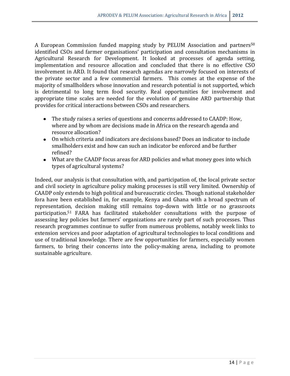A European Commission funded mapping study by PELUM Association and partners<sup>50</sup> identified CSOs and farmer organisations' participation and consultation mechanisms in Agricultural Research for Development. It looked at processes of agenda setting, implementation and resource allocation and concluded that there is no effective CSO involvement in ARD. It found that research agendas are narrowly focused on interests of the private sector and a few commercial farmers. This comes at the expense of the majority of smallholders whose innovation and research potential is not supported, which is detrimental to long term food security. Real opportunities for involvement and appropriate time scales are needed for the evolution of genuine ARD partnership that provides for critical interactions between CSOs and researchers.

- The study raises a series of questions and concerns addressed to CAADP: How, where and by whom are decisions made in Africa on the research agenda and resource allocation?
- On which criteria and indicators are decisions based? Does an indicator to include smallholders exist and how can such an indicator be enforced and be further refined?
- What are the CAADP focus areas for ARD policies and what money goes into which types of agricultural systems?

Indeed, our analysis is that consultation with, and participation of, the local private sector and civil society in agriculture policy making processes is still very limited. Ownership of CAADP only extends to high political and bureaucratic circles. Though national stakeholder fora have been established in, for example, Kenya and Ghana with a broad spectrum of representation, decision making still remains top-down with little or no grassroots participation. <sup>51</sup> FARA has facilitated stakeholder consultations with the purpose of assessing key policies but farmers' organizations are rarely part of such processes. Thus research programmes continue to suffer from numerous problems, notably week links to extension services and poor adaptation of agricultural technologies to local conditions and use of traditional knowledge. There are few opportunities for farmers, especially women farmers, to bring their concerns into the policy-making arena, including to promote sustainable agriculture.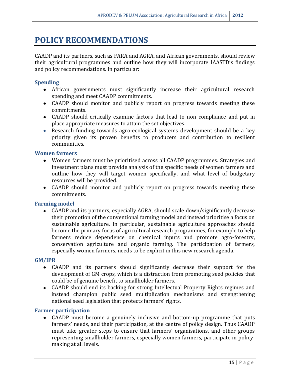# **POLICY RECOMMENDATIONS**

CAADP and its partners, such as FARA and AGRA, and African governments, should review their agricultural programmes and outline how they will incorporate IAASTD's findings and policy recommendations. In particular:

## **Spending**

- African governments must significantly increase their agricultural research spending and meet CAADP commitments.
- CAADP should monitor and publicly report on progress towards meeting these commitments.
- CAADP should critically examine factors that lead to non compliance and put in place appropriate measures to attain the set objectives.
- Research funding towards agro-ecological systems development should be a key priority given its proven benefits to producers and contribution to resilient communities.

## **Women farmers**

- Women farmers must be prioritised across all CAADP programmes. Strategies and investment plans must provide analysis of the specific needs of women farmers and outline how they will target women specifically, and what level of budgetary resources will be provided.
- CAADP should monitor and publicly report on progress towards meeting these commitments.

## **Farming model**

CAADP and its partners, especially AGRA, should scale down/significantly decrease their promotion of the conventional farming model and instead prioritise a focus on sustainable agriculture. In particular, sustainable agriculture approaches should become the primary focus of agricultural research programmes, for example to help farmers reduce dependence on chemical inputs and promote agro-forestry, conservation agriculture and organic farming. The participation of farmers, especially women farmers, needs to be explicit in this new research agenda.

## **GM/IPR**

- CAADP and its partners should significantly decrease their support for the development of GM crops, which is a distraction from promoting seed policies that could be of genuine benefit to smallholder farmers.
- CAADP should end its backing for strong Intellectual Property Rights regimes and instead champion public seed multiplication mechanisms and strengthening national seed legislation that protects farmers' rights.

## **Farmer participation**

CAADP must become a genuinely inclusive and bottom-up programme that puts farmers' needs, and their participation, at the centre of policy design. Thus CAADP must take greater steps to ensure that farmers' organisations, and other groups representing smallholder farmers, especially women farmers, participate in policymaking at all levels.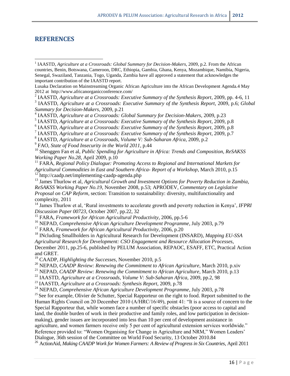## **REFERENCES**

 $\overline{a}$ 

3 IAASTD, *Agriculture at a Crossroads: Executive Summary of the Synthesis Report*, 2009, p.6; *Global Summary for Decision-Makers*, 2009, p.21

<sup>5</sup> IAASTD, *Agriculture at a Crossroads: Executive Summary of the Synthesis Report*, 2009, p.8

7 IAASTD, *Agriculture at a Crossroads: Executive Summary of the Synthesis Report*, 2009, p.7

9 FAO, *State of Food Insecurity in the World 2011*, p.44

<sup>10</sup> Shenggen Fan et al, *Public Spending for Agriculture in Africa: Trends and Composition*, *ReSAKSS Working Paper No.28*, April 2009, p.10

<sup>11</sup> FARA, *Regional Policy Dialogue: Promoting Access to Regional and International Markets for Agricultural Commodities in East and Southern Africa- Report of a Workshop*, March 2010, p.15 <sup>12</sup> http://caadp.net/implementing-caadp-agenda.php

<sup>13</sup> James Thurlow et al, *Agricultural Growth and Investment Options for Poverty Reduction in Zambia*, *ReSAKSS Working Paper No.19*, November 2008, p.53; APRODEV, *Commentary on Legislative Proposal on CAP Reform,* section: Transition to sustainability: diversity, multifunctionality and complexity, 2011

<sup>14</sup> James Thurlow et al, 'Rural investments to accelerate growth and poverty reduction in Kenya', *IFPRI Discussion Paper 00723*, October 2007, pp.22, 32

<sup>15</sup> FARA, *Framework for African Agricultural Productivity*, 2006, pp.5-6

<sup>16</sup> NEPAD, *Comprehensive African Agriculture Development Programme*, July 2003, p.79

<sup>17</sup> FARA, *Framework for African Agricultural Productivity*, 2006, p.20

<sup>18</sup> INcluding Smallholders in Agricultural Research for Development (INSARD), *Mapping EU-SSA Agricultural Research for Development: CSO Engagement and Resource Allocation Processes*, December 2011, pp.25-6, published by PELUM Association, REPAOC, ESAFF, ETC, Practical Action and GRET.

<sup>19</sup> CAADP, *Highlighting the Successes*, November 2010, p.5

<sup>20</sup> NEPAD, *CAADP Review: Renewing the Commitment to African Agriculture*, March 2010, p.xiv

<sup>21</sup> NEPAD, *CAADP Review: Renewing the Commitment to African Agriculture*, March 2010, p.13

<sup>22</sup> IAASTD, *Agriculture at a Crossroads, Volume V: Sub-Saharan Africa*, 2009, pp.2, 98

<sup>23</sup> IAASTD, *Agriculture at a Crossroads: Synthesis Report*, 2009, p.78

<sup>24</sup> NEPAD, *Comprehensive African Agriculture Development Programme*, July 2003, p.78

<sup>25</sup> See for example, Olivier de Schutter, Special Rapporteur on the right to food. Report submitted to the Human Rights Council on 20 December 2010 (A/HRC/16/49), point 41: "It is a source of concern to the Special Rapporteur that, while women face a number of specific obstacles (poor access to capital and land, the double burden of work in their productive and family roles, and low participation in decisionmaking), gender issues are incorporated into less than 10 per cent of development assistance in agriculture, and women farmers receive only 5 per cent of agricultural extension services worldwide." Reference provided to: "Women Organising for Change in Agriculture and NRM," Women Leaders' Dialogue, 36th session of the Committee on World Food Security, 13 October 2010.84

<sup>26</sup> ActionAid, *Making CAADP Work for Women Farmers: A Review of Progress in Six Countries*, April 2011

<sup>&</sup>lt;sup>1</sup> IAASTD, *Agriculture at a Crossroads: Global Summary for Decision-Makers*, 2009, p.2. From the African countries, Benin, Botswana, Cameroon, DRC, Ethiopia, Gambia, Ghana, Kenya, Mozambique, Namibia, Nigeria, Senegal, Swaziland, Tanzania, Togo, Uganda, Zambia have all approved a statement that acknowledges the important contribution of the IAASTD report.

Lusaka Declaration on Mainstreaming Organic African Agriculture into the African Development Agenda.4 May 2012 at http://www.africanorganicconference.com/

<sup>2</sup> IAASTD, *Agriculture at a Crossroads: Executive Summary of the Synthesis Report*, 2009, pp. 4-6, 11

<sup>4</sup> IAASTD, *Agriculture at a Crossroads: Global Summary for Decision-Makers*, 2009, p.23

<sup>&</sup>lt;sup>6</sup> IAASTD, *Agriculture at a Crossroads: Executive Summary of the Synthesis Report*, 2009, p.8

<sup>8</sup> IAASTD, *Agriculture at a Crossroads, Volume V: Sub-Saharan Africa*, 2009, p.2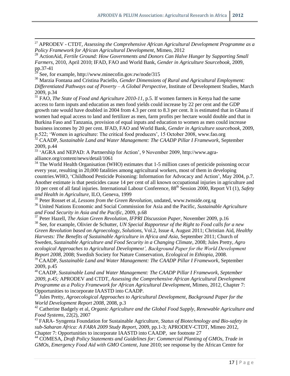<sup>27</sup> APRODEV - CTDT, *Assessing the Comprehensive African Agricultural Development Programme as a Policy Framework for African Agricultural Development*, Mimeo, 2012

<sup>28</sup> ActionAid, *Fertile Ground: How Governments and Donors Can Halve Hunger by Supporting Small Farmers*, 2010, April 2010; IFAD, FAO and World Bank, *Gender in Agriculture Sourcebook*, 2009, pp.37-41

See, for example, http://www.minecofin.gov.rw/node/315

**.** 

<sup>30</sup> Marzia Fontana and Cristina Paciello, *Gender Dimensions of Rural and Agricultural Employment: Differentiated Pathways out of Poverty – A Global Perspective*, Institute of Development Studies, March 2009, p.34

<sup>31</sup> FAO, *The State of Food and Agriculture 2010-11*, p.5. If women farmers in Kenya had the same access to farm inputs and education as men food yields could increase by 22 per cent and the GDP growth rate would have doubled in 2004 from 4.3 per cent to 8.3 per cent. It is estimated that in Ghana if women had equal access to land and fertilizer as men, farm profits per hectare would double and that in Burkina Faso and Tanzania, provision of equal inputs and education to women as men could increase business incomes by 20 per cent. IFAD, FAO and World Bank, *Gender in Agriculture sourcebook*, 2009, p.522; 'Women in agriculture: The critical food producers', 15 October 2008, [www.fao.org](http://www.fao.org/) <sup>32</sup> CAADP, *Sustainable Land and Water Management: The CAADP Pillar I Framework*, September

2009, p.44

<sup>33</sup> 'AGRA and NEPAD: A Partnership for Action', 9 November 2009, http://www.agraalliance.org/content/news/detail/1061

<sup>34</sup> The World Health Organisation (WHO) estimates that 1-5 million cases of pesticide poisoning occur every year, resulting in 20,000 fatalities among agricultural workers, most of them in developing countries.WHO, 'Childhood Pesticide Poisoning: Information for Advocacy and Action', May 2004, p.7. Another estimate is that pesticides cause 14 per cent of all known occupational injuries in agriculture and 10 per cent of all fatal injuries. International Labour Conference, 88th Session 2000, Report VI (1), *Safety and Health in Agriculture*, ILO, Geneva, 1999

<sup>35</sup> Peter Rosset et al, *Lessons from the Green Revolution*, undated, www.twnside.org.sg

<sup>36</sup> United Nations Economic and Social Commission for Asia and the Pacific, *Sustainable Agriculture and Food Security in Asia and the Pacific*, 2009, p.68

<sup>37</sup> Peter Hazell, *The Asian Green Revolution*, *IFPRI Discussion Paper*, November 2009, p.16

<sup>38</sup> See, for example, Olivier de Schutter, *UN Special Rapporteur of the Right to Food calls for a new Green Revolution based on Agroecology*, *Solutions*, Vol.2, Issue 4, August 2011; Christian Aid, *Healthy Harvests: The Benefits of Sustainable Agriculture in Africa and Asia*, September 2011; Church of Sweden, *Sustainable Agriculture and Food Security in a Changing Climate*, 2008; Jules Pretty, *Agro ecological Approaches to Agricultural Development', Background Paper for the World Development Report 2008*, 2008; Swedish Society for Nature Conservation, *Ecological in Ethiopia*, 2008. <sup>39</sup> CAADP, *Sustainable Land and Water Management: The CAADP Pillar I Framework*, September

2009, p.45

<sup>40</sup>CAADP, *Sustainable Land and Water Management: The CAADP Pillar I Framework, September 2009, p.45;* APRODEV and CTDT, *Assessing the Comprehensive African Agricultural Development Programme as a Policy Framework for African Agricultural Development*, Mimeo, 2012, Chapter 7: Opportunities to incorporate IAASTD into CAADP.

<sup>41</sup> Jules Pretty, *Agroecological Approaches to Agricultural Development*, *Background Paper for the World Development Report 2008*, 2008, p.3

<sup>42</sup> Catherine Badgely et al, *Organic Agriculture and the Global Food Supply*, *Renewable Agriculture and Food Systems*, 22(2), 2007

<sup>43</sup> FARA- Syngenta Foundation for Sustainable Agriculture, *Status of Biotechnology and Bio-safety in sub-Saharan Africa: A FARA 2009 Study Report*, 2009, pp.1-3; APRODEV-CTDT, Mimeo 2012, Chapter 7: Opportunities to incorporate IAASTD into CAADP, see footnote 27

<sup>44</sup> COMESA, *Draft Policy Statements and Guidelines for: Commercial Planting of GMOs, Trade in GMOs, Emergency Food Aid with GMO Content*, June 2010; see response by the African Centre for